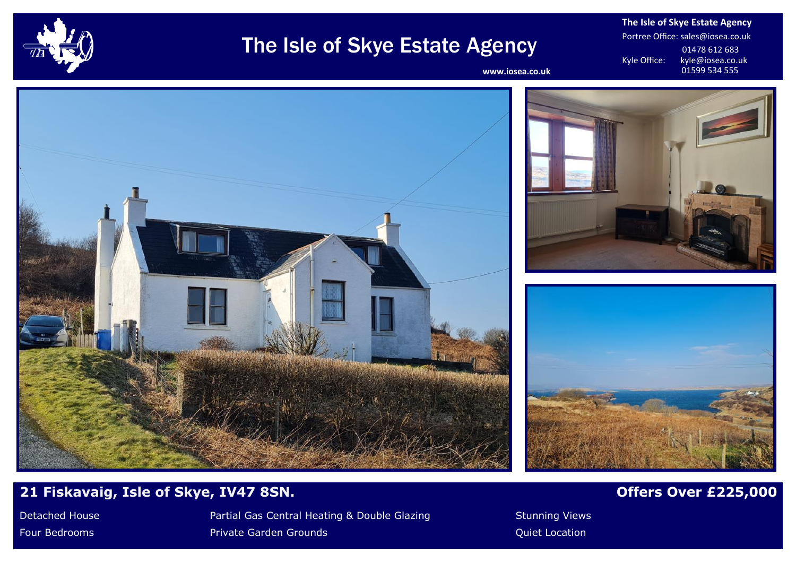

# The Isle of Skye Estate Agency

**The Isle of Skye Estate Agency** Portree Office: sales@iosea.co.uk 01478 612 683<br>Kyle Office: kyle@iosea.co.u kyle@iosea.co.uk<br>01599 534 555

www.iosea.co.uk







# **21 Fiskavaig, Isle of Skye, IV47 8SN.** *Offers Over £225,000**Offers Over £225,000*

Detached House **Partial Gas Central Heating & Double Glazing Stunning Views** Stunning Views Four Bedrooms **Private Garden Grounds Private Garden Grounds** And Allen Construction and Cuiet Location Cuiet Location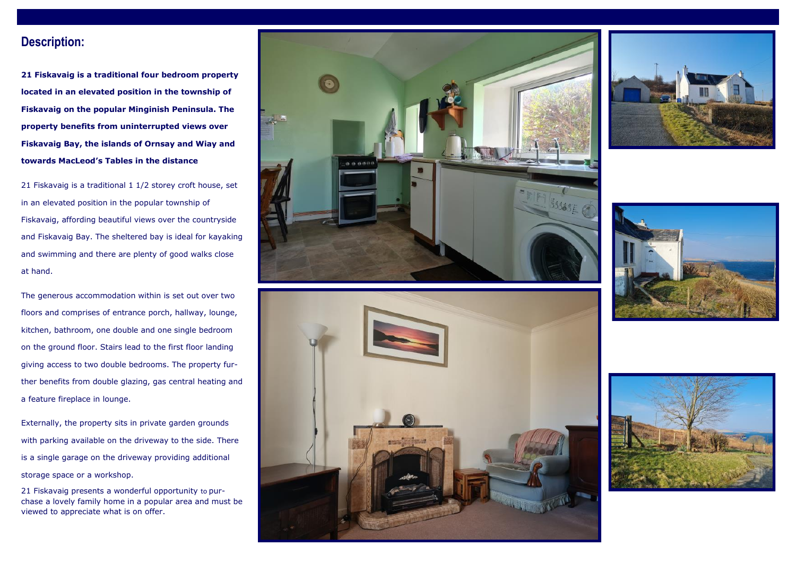## **Description:**

**21 Fiskavaig is a traditional four bedroom property located in an elevated position in the township of Fiskavaig on the popular Minginish Peninsula. The property benefits from uninterrupted views over Fiskavaig Bay, the islands of Ornsay and Wiay and towards MacLeod's Tables in the distance**

21 Fiskavaig is a traditional 1 1/2 storey croft house, set in an elevated position in the popular township of Fiskavaig, affording beautiful views over the countryside and Fiskavaig Bay. The sheltered bay is ideal for kayaking and swimming and there are plenty of good walks close at hand.

The generous accommodation within is set out over two floors and comprises of entrance porch, hallway, lounge, kitchen, bathroom, one double and one single bedroom on the ground floor. Stairs lead to the first floor landing giving access to two double bedrooms. The property further benefits from double glazing, gas central heating and a feature fireplace in lounge.

Externally, the property sits in private garden grounds with parking available on the driveway to the side. There is a single garage on the driveway providing additional storage space or a workshop.

21 Fiskavaig presents a wonderful opportunity to purchase a lovely family home in a popular area and must be viewed to appreciate what is on offer.









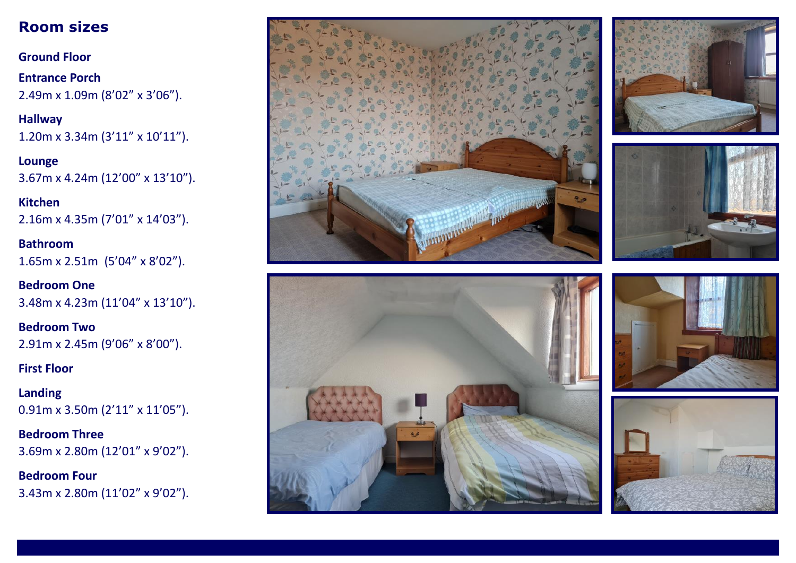# **Room sizes**

**Ground Floor**

**Entrance Porch** 2.49m x 1.09m (8'02" x 3'06").

**Hallway** 1.20m x 3.34m (3'11" x 10'11").

**Lounge** 3.67m x 4.24m (12'00" x 13'10").

**Kitchen** 2.16m x 4.35m (7'01" x 14'03").

**Bathroom** 1.65m x 2.51m (5'04" x 8'02").

**Bedroom One** 3.48m x 4.23m (11'04" x 13'10").

**Bedroom Two** 2.91m x 2.45m (9'06" x 8'00").

**First Floor**

**Landing** 0.91m x 3.50m (2'11" x 11'05").

**Bedroom Three** 3.69m x 2.80m (12'01" x 9'02").

**Bedroom Four** 3.43m x 2.80m (11'02" x 9'02").